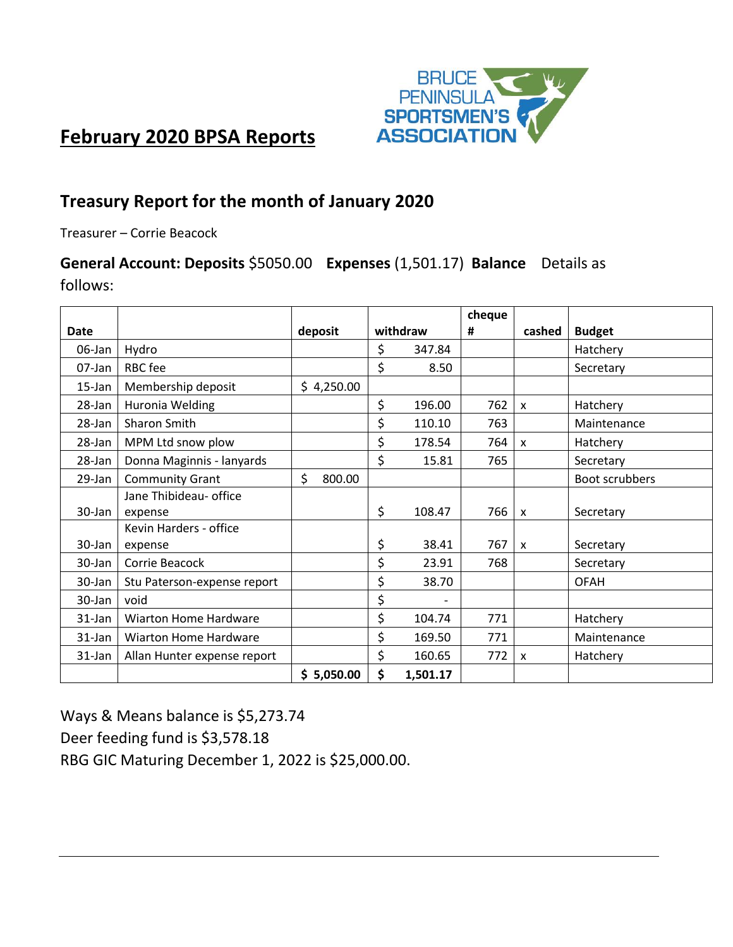

# **February 2020 BPSA Reports**

# **Treasury Report for the month of January 2020**

Treasurer – Corrie Beacock

# **General Account: Deposits** \$5050.00 **Expenses** (1,501.17) **Balance** Details as follows:

|           |                              |              |          |          | cheque |                           |                |
|-----------|------------------------------|--------------|----------|----------|--------|---------------------------|----------------|
| Date      |                              | deposit      | withdraw |          | #      | cashed                    | <b>Budget</b>  |
| 06-Jan    | Hydro                        |              | \$       | 347.84   |        |                           | Hatchery       |
| 07-Jan    | RBC fee                      |              | \$       | 8.50     |        |                           | Secretary      |
| 15-Jan    | Membership deposit           | \$4,250.00   |          |          |        |                           |                |
| 28-Jan    | Huronia Welding              |              | \$       | 196.00   | 762    | $\mathsf{x}$              | Hatchery       |
| $28$ -Jan | Sharon Smith                 |              | \$       | 110.10   | 763    |                           | Maintenance    |
| 28-Jan    | MPM Ltd snow plow            |              | \$       | 178.54   | 764    | $\mathsf{x}$              | Hatchery       |
| 28-Jan    | Donna Maginnis - lanyards    |              | \$       | 15.81    | 765    |                           | Secretary      |
| 29-Jan    | <b>Community Grant</b>       | \$<br>800.00 |          |          |        |                           | Boot scrubbers |
|           | Jane Thibideau- office       |              |          |          |        |                           |                |
| 30-Jan    | expense                      |              | \$       | 108.47   | 766    | $\boldsymbol{\mathsf{x}}$ | Secretary      |
|           | Kevin Harders - office       |              |          |          |        |                           |                |
| 30-Jan    | expense                      |              | \$       | 38.41    | 767    | $\mathsf{x}$              | Secretary      |
| 30-Jan    | Corrie Beacock               |              | \$       | 23.91    | 768    |                           | Secretary      |
| 30-Jan    | Stu Paterson-expense report  |              | \$       | 38.70    |        |                           | <b>OFAH</b>    |
| 30-Jan    | void                         |              | \$       |          |        |                           |                |
| 31-Jan    | <b>Wiarton Home Hardware</b> |              | \$       | 104.74   | 771    |                           | Hatchery       |
| $31$ -Jan | <b>Wiarton Home Hardware</b> |              | \$       | 169.50   | 771    |                           | Maintenance    |
| 31-Jan    | Allan Hunter expense report  |              | \$       | 160.65   | 772    | X                         | Hatchery       |
|           |                              | \$5,050.00   | \$       | 1,501.17 |        |                           |                |

Ways & Means balance is \$5,273.74 Deer feeding fund is \$3,578.18 RBG GIC Maturing December 1, 2022 is \$25,000.00.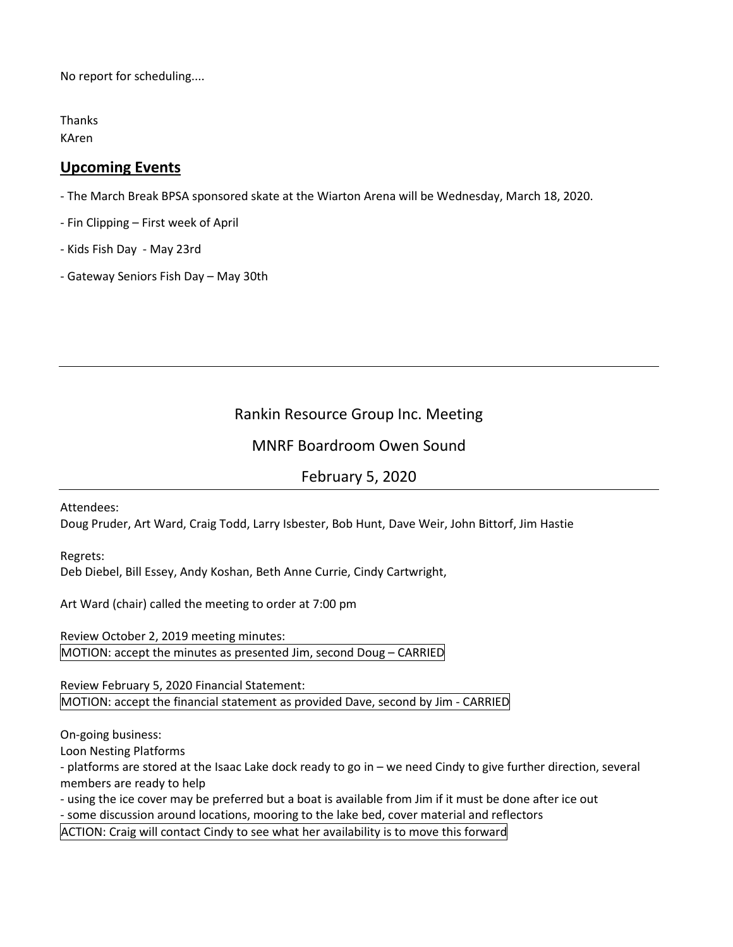No report for scheduling....

Thanks

KAren

### **Upcoming Events**

- The March Break BPSA sponsored skate at the Wiarton Arena will be Wednesday, March 18, 2020.

- Fin Clipping First week of April
- Kids Fish Day May 23rd
- Gateway Seniors Fish Day May 30th

## Rankin Resource Group Inc. Meeting

### MNRF Boardroom Owen Sound

### February 5, 2020

Attendees:

Doug Pruder, Art Ward, Craig Todd, Larry Isbester, Bob Hunt, Dave Weir, John Bittorf, Jim Hastie

Regrets:

Deb Diebel, Bill Essey, Andy Koshan, Beth Anne Currie, Cindy Cartwright,

Art Ward (chair) called the meeting to order at 7:00 pm

Review October 2, 2019 meeting minutes: MOTION: accept the minutes as presented Jim, second Doug – CARRIED

Review February 5, 2020 Financial Statement: MOTION: accept the financial statement as provided Dave, second by Jim - CARRIED

On-going business:

Loon Nesting Platforms

- platforms are stored at the Isaac Lake dock ready to go in – we need Cindy to give further direction, several members are ready to help

- using the ice cover may be preferred but a boat is available from Jim if it must be done after ice out

- some discussion around locations, mooring to the lake bed, cover material and reflectors

ACTION: Craig will contact Cindy to see what her availability is to move this forward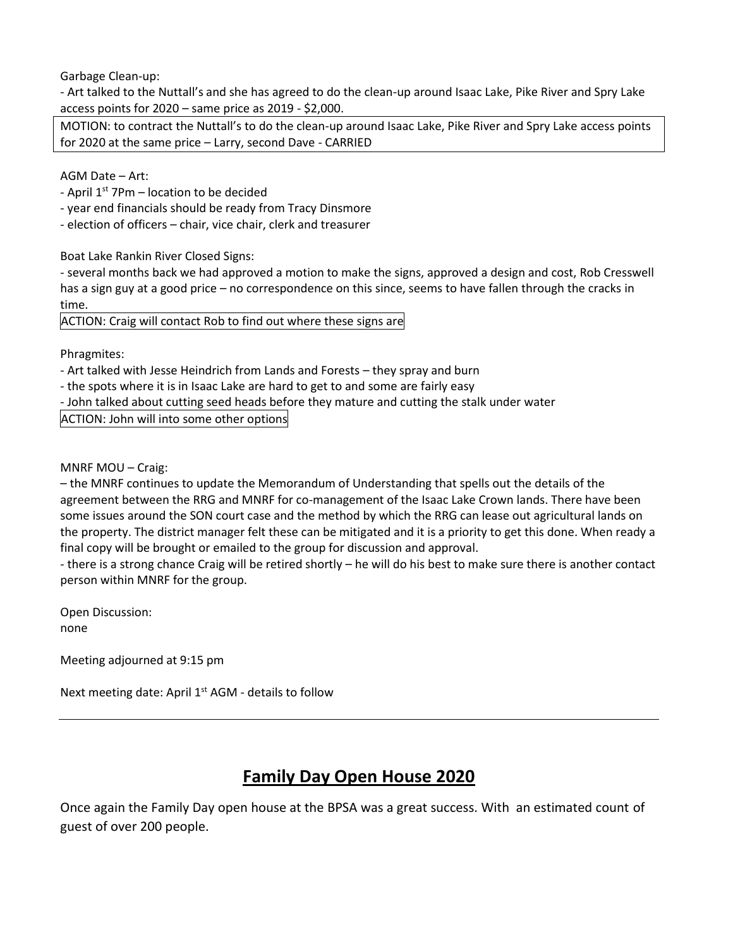Garbage Clean-up:

- Art talked to the Nuttall's and she has agreed to do the clean-up around Isaac Lake, Pike River and Spry Lake access points for 2020 – same price as 2019 - \$2,000.

MOTION: to contract the Nuttall's to do the clean-up around Isaac Lake, Pike River and Spry Lake access points for 2020 at the same price – Larry, second Dave - CARRIED

AGM Date – Art:

- April  $1<sup>st</sup>$  7Pm location to be decided
- year end financials should be ready from Tracy Dinsmore
- election of officers chair, vice chair, clerk and treasurer

Boat Lake Rankin River Closed Signs:

- several months back we had approved a motion to make the signs, approved a design and cost, Rob Cresswell has a sign guy at a good price – no correspondence on this since, seems to have fallen through the cracks in time.

ACTION: Craig will contact Rob to find out where these signs are

Phragmites:

- Art talked with Jesse Heindrich from Lands and Forests – they spray and burn

- the spots where it is in Isaac Lake are hard to get to and some are fairly easy

- John talked about cutting seed heads before they mature and cutting the stalk under water

ACTION: John will into some other options

MNRF MOU – Craig:

– the MNRF continues to update the Memorandum of Understanding that spells out the details of the agreement between the RRG and MNRF for co-management of the Isaac Lake Crown lands. There have been some issues around the SON court case and the method by which the RRG can lease out agricultural lands on the property. The district manager felt these can be mitigated and it is a priority to get this done. When ready a final copy will be brought or emailed to the group for discussion and approval.

- there is a strong chance Craig will be retired shortly – he will do his best to make sure there is another contact person within MNRF for the group.

Open Discussion: none

Meeting adjourned at 9:15 pm

Next meeting date: April 1<sup>st</sup> AGM - details to follow

# **Family Day Open House 2020**

Once again the Family Day open house at the BPSA was a great success. With an estimated count of guest of over 200 people.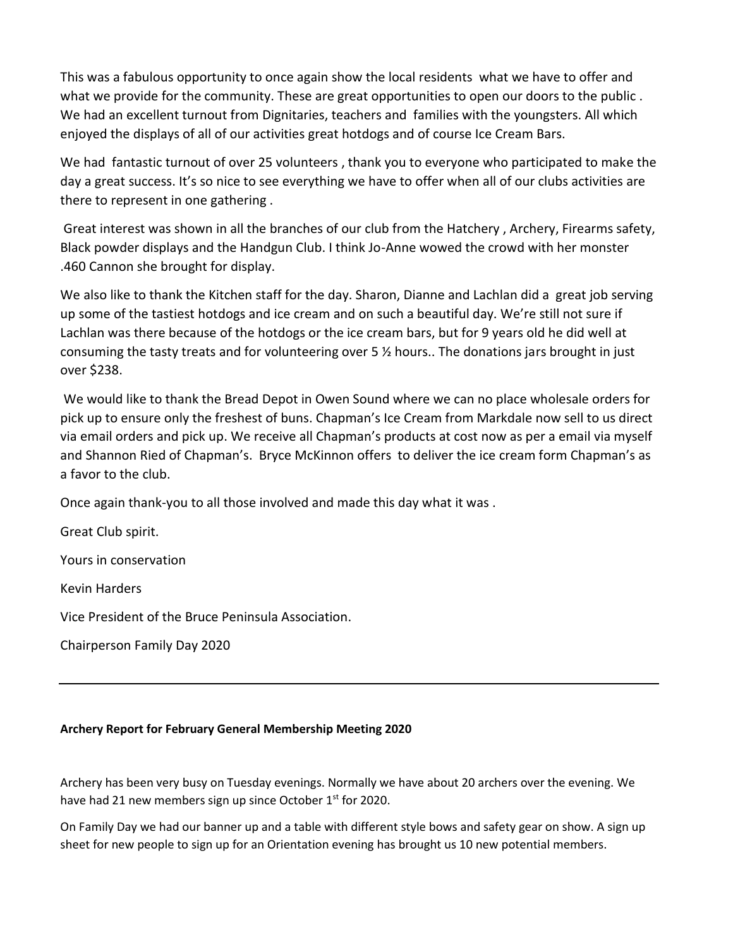This was a fabulous opportunity to once again show the local residents what we have to offer and what we provide for the community. These are great opportunities to open our doors to the public. We had an excellent turnout from Dignitaries, teachers and families with the youngsters. All which enjoyed the displays of all of our activities great hotdogs and of course Ice Cream Bars.

We had fantastic turnout of over 25 volunteers , thank you to everyone who participated to make the day a great success. It's so nice to see everything we have to offer when all of our clubs activities are there to represent in one gathering .

Great interest was shown in all the branches of our club from the Hatchery , Archery, Firearms safety, Black powder displays and the Handgun Club. I think Jo-Anne wowed the crowd with her monster .460 Cannon she brought for display.

We also like to thank the Kitchen staff for the day. Sharon, Dianne and Lachlan did a great job serving up some of the tastiest hotdogs and ice cream and on such a beautiful day. We're still not sure if Lachlan was there because of the hotdogs or the ice cream bars, but for 9 years old he did well at consuming the tasty treats and for volunteering over 5 ½ hours.. The donations jars brought in just over \$238.

We would like to thank the Bread Depot in Owen Sound where we can no place wholesale orders for pick up to ensure only the freshest of buns. Chapman's Ice Cream from Markdale now sell to us direct via email orders and pick up. We receive all Chapman's products at cost now as per a email via myself and Shannon Ried of Chapman's. Bryce McKinnon offers to deliver the ice cream form Chapman's as a favor to the club.

Once again thank-you to all those involved and made this day what it was .

Great Club spirit. Yours in conservation Kevin Harders

Vice President of the Bruce Peninsula Association.

Chairperson Family Day 2020

#### **Archery Report for February General Membership Meeting 2020**

Archery has been very busy on Tuesday evenings. Normally we have about 20 archers over the evening. We have had 21 new members sign up since October  $1<sup>st</sup>$  for 2020.

On Family Day we had our banner up and a table with different style bows and safety gear on show. A sign up sheet for new people to sign up for an Orientation evening has brought us 10 new potential members.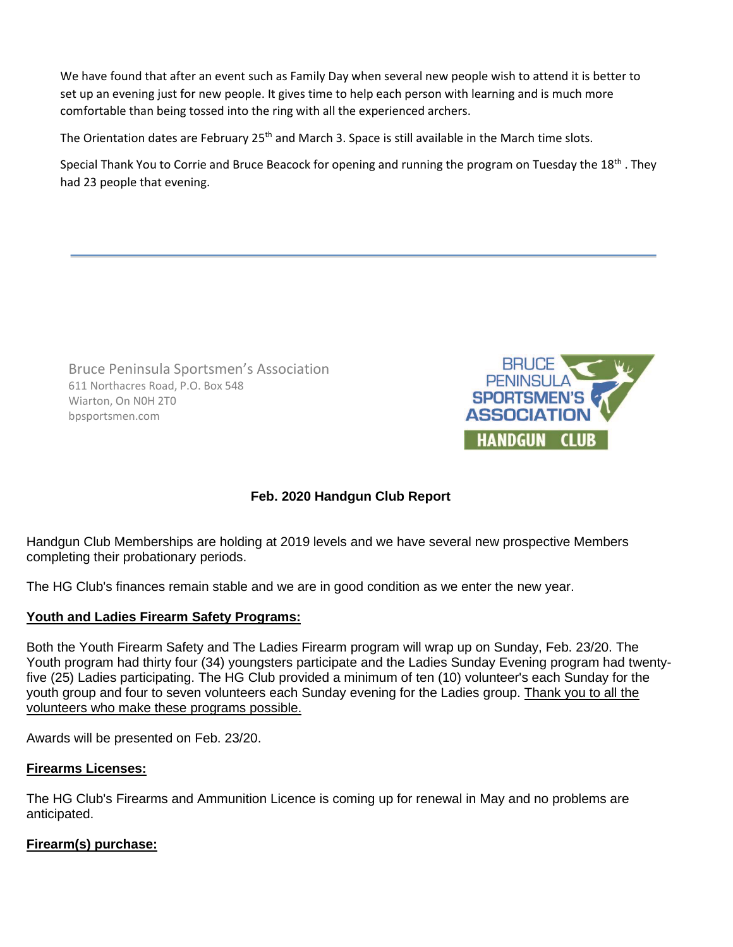We have found that after an event such as Family Day when several new people wish to attend it is better to set up an evening just for new people. It gives time to help each person with learning and is much more comfortable than being tossed into the ring with all the experienced archers.

The Orientation dates are February 25<sup>th</sup> and March 3. Space is still available in the March time slots.

Special Thank You to Corrie and Bruce Beacock for opening and running the program on Tuesday the 18<sup>th</sup>. They had 23 people that evening.

Bruce Peninsula Sportsmen's Association 611 Northacres Road, P.O. Box 548 Wiarton, On N0H 2T0 bpsportsmen.com



### **Feb. 2020 Handgun Club Report**

Handgun Club Memberships are holding at 2019 levels and we have several new prospective Members completing their probationary periods.

The HG Club's finances remain stable and we are in good condition as we enter the new year.

#### **Youth and Ladies Firearm Safety Programs:**

Both the Youth Firearm Safety and The Ladies Firearm program will wrap up on Sunday, Feb. 23/20. The Youth program had thirty four (34) youngsters participate and the Ladies Sunday Evening program had twentyfive (25) Ladies participating. The HG Club provided a minimum of ten (10) volunteer's each Sunday for the youth group and four to seven volunteers each Sunday evening for the Ladies group. Thank you to all the volunteers who make these programs possible.

Awards will be presented on Feb. 23/20.

#### **Firearms Licenses:**

The HG Club's Firearms and Ammunition Licence is coming up for renewal in May and no problems are anticipated.

#### **Firearm(s) purchase:**